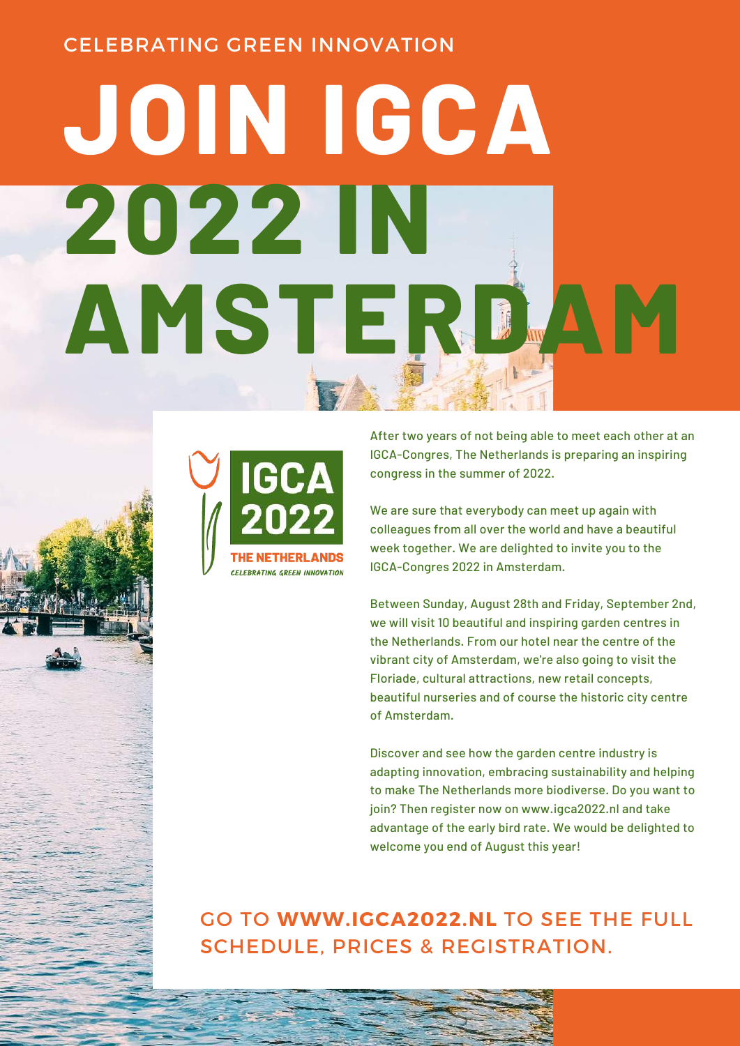#### CELEBRATING GREEN INNOVATION

# **JOIN IGCA 2022 IN AMSTERDAM**



After two years of not being able to meet each other at an IGCA-Congres, The Netherlands is preparing an inspiring congress in the summer of 2022.

We are sure that everybody can meet up again with colleagues from all over the world and have a beautiful week together. We are delighted to invite you to the IGCA-Congres 2022 in Amsterdam.

Between Sunday, August 28th and Friday, September 2nd, we will visit 10 beautiful and inspiring garden centres in the Netherlands. From our hotel near the centre of the vibrant city of Amsterdam, we're also going to visit the Floriade, cultural attractions, new retail concepts, beautiful nurseries and of course the historic city centre of Amsterdam.

Discover and see how the garden centre industry is adapting innovation, embracing sustainability and helping to make The Netherlands more biodiverse. Do you want to join? Then register now on [www.igca2022.nl](http://www.igca2022.nl/) and take advantage of the early bird rate. We would be delighted to welcome you end of August this year!

GO TO **[WWW.IGCA2022.NL](http://www.igca2022.nl/)** TO SEE THE FULL SCHEDULE, PRICES & REGISTRATION.